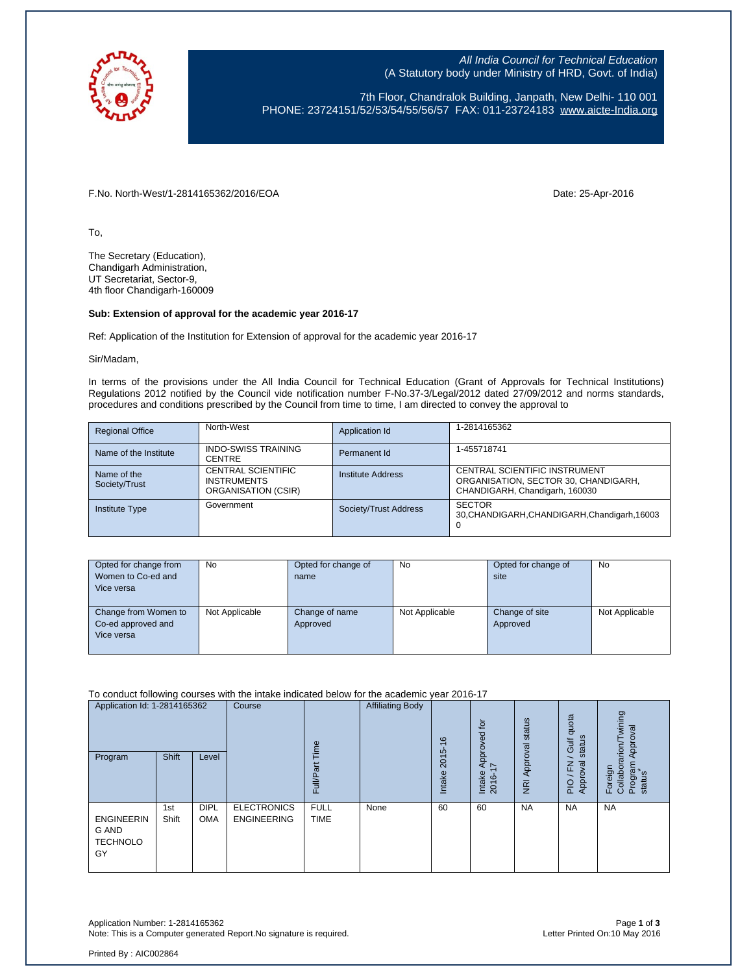

All India Council for Technical Education (A Statutory body under Ministry of HRD, Govt. of India)

7th Floor, Chandralok Building, Janpath, New Delhi- 110 001 PHONE: 23724151/52/53/54/55/56/57 FAX: 011-23724183 [www.aicte-India.org](http://www.aicte-india.org/)

F.No. North-West/1-2814165362/2016/EOA Date: 25-Apr-2016

To,

The Secretary (Education), Chandigarh Administration, UT Secretariat, Sector-9, 4th floor Chandigarh-160009

## **Sub: Extension of approval for the academic year 2016-17**

Ref: Application of the Institution for Extension of approval for the academic year 2016-17

Sir/Madam,

In terms of the provisions under the All India Council for Technical Education (Grant of Approvals for Technical Institutions) Regulations 2012 notified by the Council vide notification number F-No.37-3/Legal/2012 dated 27/09/2012 and norms standards, procedures and conditions prescribed by the Council from time to time, I am directed to convey the approval to

| <b>Regional Office</b>       | North-West                                                      | Application Id        | 1-2814165362                                                                                            |
|------------------------------|-----------------------------------------------------------------|-----------------------|---------------------------------------------------------------------------------------------------------|
| Name of the Institute        | <b>INDO-SWISS TRAINING</b><br><b>CENTRE</b>                     | Permanent Id          | 1-455718741                                                                                             |
| Name of the<br>Society/Trust | CENTRAL SCIENTIFIC<br><b>INSTRUMENTS</b><br>ORGANISATION (CSIR) | Institute Address     | CENTRAL SCIENTIFIC INSTRUMENT<br>ORGANISATION, SECTOR 30, CHANDIGARH,<br>CHANDIGARH, Chandigarh, 160030 |
| <b>Institute Type</b>        | Government                                                      | Society/Trust Address | <b>SECTOR</b><br>30, CHANDIGARH, CHANDIGARH, Chandigarh, 16003<br>0                                     |

| Opted for change from<br>Women to Co-ed and<br>Vice versa | No             | Opted for change of<br>name | No             | Opted for change of<br>site | <b>No</b>      |
|-----------------------------------------------------------|----------------|-----------------------------|----------------|-----------------------------|----------------|
| Change from Women to<br>Co-ed approved and<br>Vice versa  | Not Applicable | Change of name<br>Approved  | Not Applicable | Change of site<br>Approved  | Not Applicable |

To conduct following courses with the intake indicated below for the academic year 2016-17

| Application Id: 1-2814165362<br>Program                    | Shift        | Level                     | Course                                   | Time<br>ω<br>Full          | <b>Affiliating Body</b> | $\circ$<br>2015<br><b>Intake</b> | $\overline{c}$<br>Approved<br>$\overline{ }$<br>Intake<br>2016- | status<br>Approval<br>$\overline{R}$ | quota<br>status<br><b>Jir</b><br>roval<br>준<br>App<br>PIO | wining<br>Approval<br>Foreign<br>Collaborarion/Tv<br>Program<br>status |
|------------------------------------------------------------|--------------|---------------------------|------------------------------------------|----------------------------|-------------------------|----------------------------------|-----------------------------------------------------------------|--------------------------------------|-----------------------------------------------------------|------------------------------------------------------------------------|
| <b>ENGINEERIN</b><br><b>G AND</b><br><b>TECHNOLO</b><br>GY | 1st<br>Shift | <b>DIPL</b><br><b>OMA</b> | <b>ELECTRONICS</b><br><b>ENGINEERING</b> | <b>FULL</b><br><b>TIME</b> | None                    | 60                               | 60                                                              | <b>NA</b>                            | <b>NA</b>                                                 | <b>NA</b>                                                              |

Application Number: 1-2814165362 Page **1** of **3** Note: This is a Computer generated Report. No signature is required.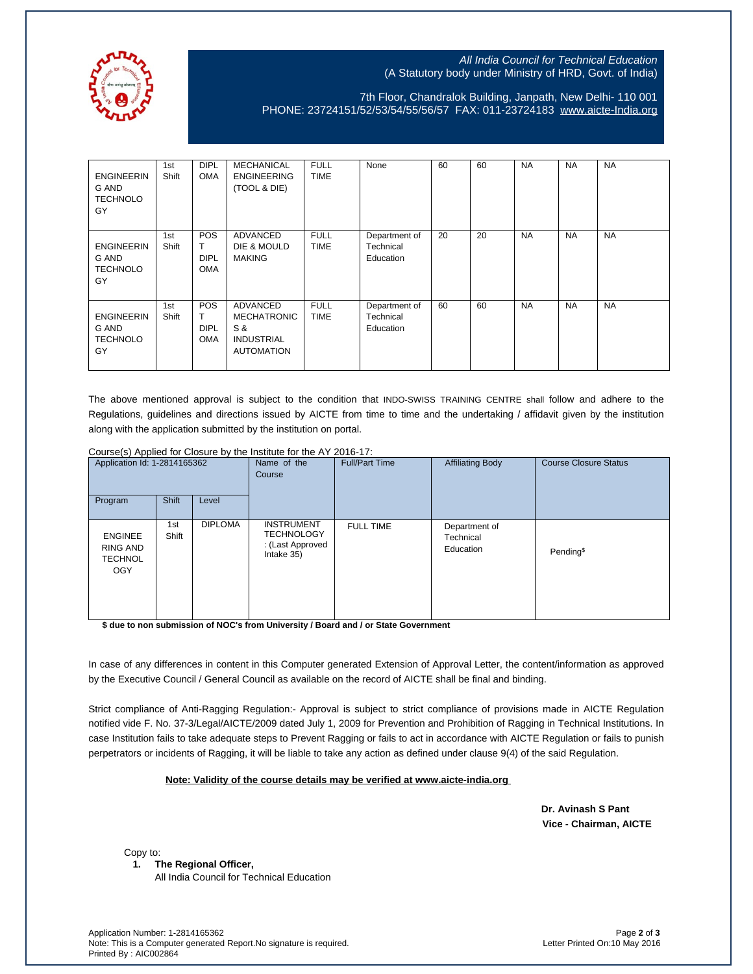

## All India Council for Technical Education (A Statutory body under Ministry of HRD, Govt. of India)

7th Floor, Chandralok Building, Janpath, New Delhi- 110 001 PHONE: 23724151/52/53/54/55/56/57 FAX: 011-23724183 [www.aicte-India.org](http://www.aicte-india.org/)

| <b>ENGINEERIN</b><br>G AND<br><b>TECHNOLO</b><br>GY | 1st<br>Shift | <b>DIPL</b><br><b>OMA</b>             | <b>MECHANICAL</b><br><b>ENGINEERING</b><br>(TOOL & DIE)                                | <b>FULL</b><br><b>TIME</b> | None                                    | 60 | 60 | <b>NA</b> | <b>NA</b> | <b>NA</b> |
|-----------------------------------------------------|--------------|---------------------------------------|----------------------------------------------------------------------------------------|----------------------------|-----------------------------------------|----|----|-----------|-----------|-----------|
| <b>ENGINEERIN</b><br>G AND<br><b>TECHNOLO</b><br>GY | 1st<br>Shift | POS<br>т<br><b>DIPL</b><br><b>OMA</b> | <b>ADVANCED</b><br>DIE & MOULD<br><b>MAKING</b>                                        | <b>FULL</b><br><b>TIME</b> | Department of<br>Technical<br>Education | 20 | 20 | <b>NA</b> | <b>NA</b> | <b>NA</b> |
| <b>ENGINEERIN</b><br>G AND<br><b>TECHNOLO</b><br>GY | 1st<br>Shift | POS<br>T<br><b>DIPL</b><br><b>OMA</b> | <b>ADVANCED</b><br><b>MECHATRONIC</b><br>S &<br><b>INDUSTRIAL</b><br><b>AUTOMATION</b> | <b>FULL</b><br><b>TIME</b> | Department of<br>Technical<br>Education | 60 | 60 | <b>NA</b> | <b>NA</b> | <b>NA</b> |

The above mentioned approval is subject to the condition that INDO-SWISS TRAINING CENTRE shall follow and adhere to the Regulations, guidelines and directions issued by AICTE from time to time and the undertaking / affidavit given by the institution along with the application submitted by the institution on portal.

Course(s) Applied for Closure by the Institute for the AY 2016-17:

| Application Id: 1-2814165362<br>Shift<br>Program<br>Level  |              | Name of the<br>Course | <b>Full/Part Time</b>                                                    | <b>Affiliating Body</b> | <b>Course Closure Status</b>            |                       |
|------------------------------------------------------------|--------------|-----------------------|--------------------------------------------------------------------------|-------------------------|-----------------------------------------|-----------------------|
|                                                            |              |                       |                                                                          |                         |                                         |                       |
| <b>ENGINEE</b><br>RING AND<br><b>TECHNOL</b><br><b>OGY</b> | 1st<br>Shift | <b>DIPLOMA</b>        | <b>INSTRUMENT</b><br><b>TECHNOLOGY</b><br>: (Last Approved<br>Intake 35) | <b>FULL TIME</b>        | Department of<br>Technical<br>Education | Pending <sup>\$</sup> |

**\$ due to non submission of NOC's from University / Board and / or State Government**

In case of any differences in content in this Computer generated Extension of Approval Letter, the content/information as approved by the Executive Council / General Council as available on the record of AICTE shall be final and binding.

Strict compliance of Anti-Ragging Regulation:- Approval is subject to strict compliance of provisions made in AICTE Regulation notified vide F. No. 37-3/Legal/AICTE/2009 dated July 1, 2009 for Prevention and Prohibition of Ragging in Technical Institutions. In case Institution fails to take adequate steps to Prevent Ragging or fails to act in accordance with AICTE Regulation or fails to punish perpetrators or incidents of Ragging, it will be liable to take any action as defined under clause 9(4) of the said Regulation.

 **Note: Validity of the course details may be verified at www.aicte-india.org** 

 **Dr. Avinash S Pant Vice - Chairman, AICTE**

Copy to:

**1. The Regional Officer,**

All India Council for Technical Education